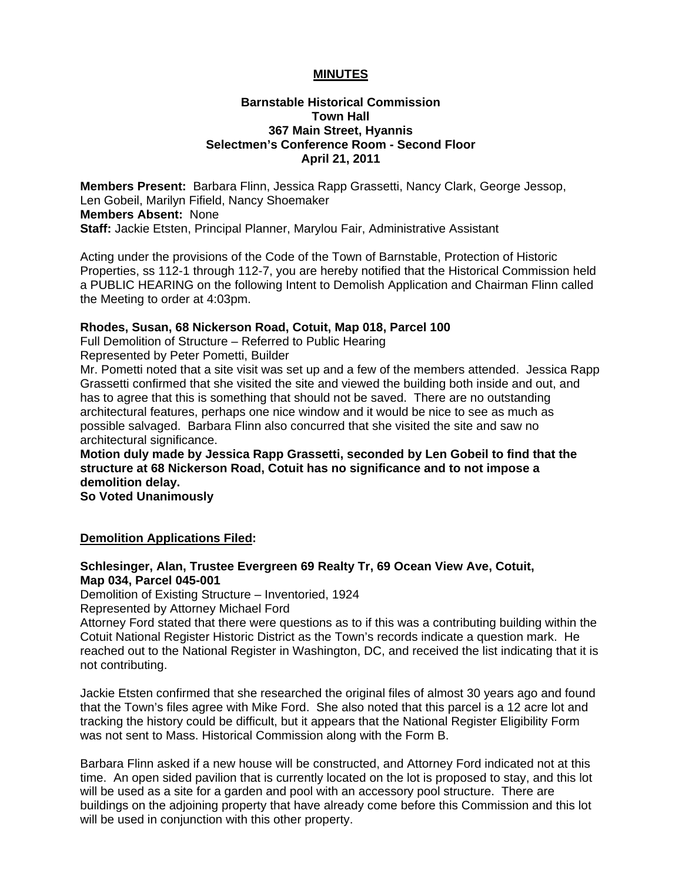## **MINUTES**

## **Barnstable Historical Commission Town Hall 367 Main Street, Hyannis Selectmen's Conference Room - Second Floor April 21, 2011**

**Members Present:** Barbara Flinn, Jessica Rapp Grassetti, Nancy Clark, George Jessop, Len Gobeil, Marilyn Fifield, Nancy Shoemaker **Members Absent:** None **Staff:** Jackie Etsten, Principal Planner, Marylou Fair, Administrative Assistant

Acting under the provisions of the Code of the Town of Barnstable, Protection of Historic Properties, ss 112-1 through 112-7, you are hereby notified that the Historical Commission held a PUBLIC HEARING on the following Intent to Demolish Application and Chairman Flinn called the Meeting to order at 4:03pm.

### **Rhodes, Susan, 68 Nickerson Road, Cotuit, Map 018, Parcel 100**

Full Demolition of Structure – Referred to Public Hearing

Represented by Peter Pometti, Builder

Mr. Pometti noted that a site visit was set up and a few of the members attended. Jessica Rapp Grassetti confirmed that she visited the site and viewed the building both inside and out, and has to agree that this is something that should not be saved. There are no outstanding architectural features, perhaps one nice window and it would be nice to see as much as possible salvaged. Barbara Flinn also concurred that she visited the site and saw no architectural significance.

**Motion duly made by Jessica Rapp Grassetti, seconded by Len Gobeil to find that the structure at 68 Nickerson Road, Cotuit has no significance and to not impose a demolition delay.** 

**So Voted Unanimously** 

### **Demolition Applications Filed:**

### **Schlesinger, Alan, Trustee Evergreen 69 Realty Tr, 69 Ocean View Ave, Cotuit, Map 034, Parcel 045-001**

Demolition of Existing Structure – Inventoried, 1924

Represented by Attorney Michael Ford

Attorney Ford stated that there were questions as to if this was a contributing building within the Cotuit National Register Historic District as the Town's records indicate a question mark. He reached out to the National Register in Washington, DC, and received the list indicating that it is not contributing.

Jackie Etsten confirmed that she researched the original files of almost 30 years ago and found that the Town's files agree with Mike Ford. She also noted that this parcel is a 12 acre lot and tracking the history could be difficult, but it appears that the National Register Eligibility Form was not sent to Mass. Historical Commission along with the Form B.

Barbara Flinn asked if a new house will be constructed, and Attorney Ford indicated not at this time. An open sided pavilion that is currently located on the lot is proposed to stay, and this lot will be used as a site for a garden and pool with an accessory pool structure. There are buildings on the adjoining property that have already come before this Commission and this lot will be used in conjunction with this other property.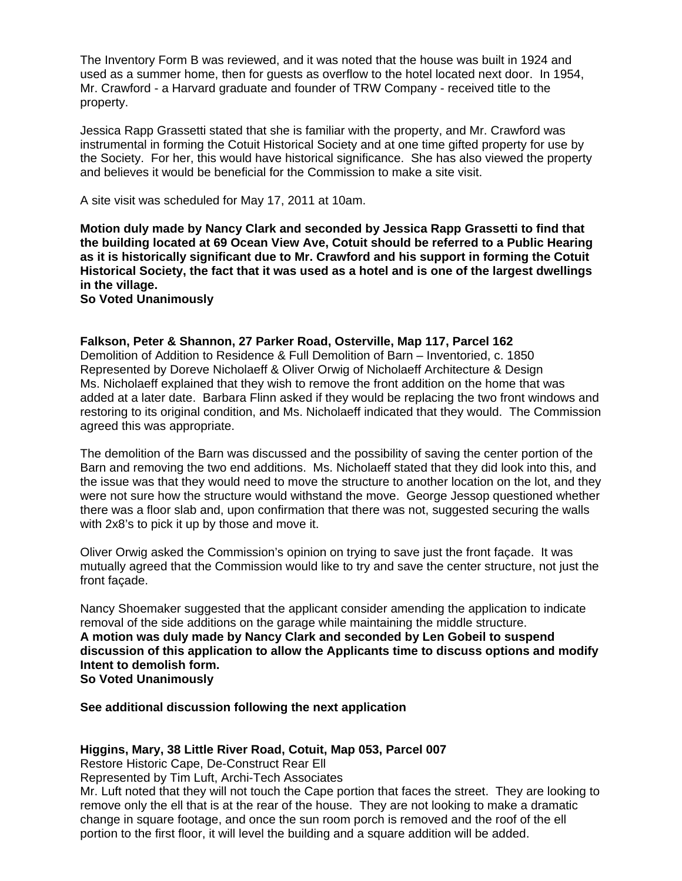The Inventory Form B was reviewed, and it was noted that the house was built in 1924 and used as a summer home, then for guests as overflow to the hotel located next door. In 1954, Mr. Crawford - a Harvard graduate and founder of TRW Company - received title to the property.

Jessica Rapp Grassetti stated that she is familiar with the property, and Mr. Crawford was instrumental in forming the Cotuit Historical Society and at one time gifted property for use by the Society. For her, this would have historical significance. She has also viewed the property and believes it would be beneficial for the Commission to make a site visit.

A site visit was scheduled for May 17, 2011 at 10am.

**Motion duly made by Nancy Clark and seconded by Jessica Rapp Grassetti to find that the building located at 69 Ocean View Ave, Cotuit should be referred to a Public Hearing as it is historically significant due to Mr. Crawford and his support in forming the Cotuit Historical Society, the fact that it was used as a hotel and is one of the largest dwellings in the village.** 

**So Voted Unanimously** 

#### **Falkson, Peter & Shannon, 27 Parker Road, Osterville, Map 117, Parcel 162**

Demolition of Addition to Residence & Full Demolition of Barn – Inventoried, c. 1850 Represented by Doreve Nicholaeff & Oliver Orwig of Nicholaeff Architecture & Design Ms. Nicholaeff explained that they wish to remove the front addition on the home that was added at a later date. Barbara Flinn asked if they would be replacing the two front windows and restoring to its original condition, and Ms. Nicholaeff indicated that they would. The Commission agreed this was appropriate.

The demolition of the Barn was discussed and the possibility of saving the center portion of the Barn and removing the two end additions. Ms. Nicholaeff stated that they did look into this, and the issue was that they would need to move the structure to another location on the lot, and they were not sure how the structure would withstand the move. George Jessop questioned whether there was a floor slab and, upon confirmation that there was not, suggested securing the walls with 2x8's to pick it up by those and move it.

Oliver Orwig asked the Commission's opinion on trying to save just the front façade. It was mutually agreed that the Commission would like to try and save the center structure, not just the front façade.

Nancy Shoemaker suggested that the applicant consider amending the application to indicate removal of the side additions on the garage while maintaining the middle structure. **A motion was duly made by Nancy Clark and seconded by Len Gobeil to suspend discussion of this application to allow the Applicants time to discuss options and modify Intent to demolish form. So Voted Unanimously** 

**See additional discussion following the next application** 

#### **Higgins, Mary, 38 Little River Road, Cotuit, Map 053, Parcel 007**

Restore Historic Cape, De-Construct Rear Ell

Represented by Tim Luft, Archi-Tech Associates

Mr. Luft noted that they will not touch the Cape portion that faces the street. They are looking to remove only the ell that is at the rear of the house. They are not looking to make a dramatic change in square footage, and once the sun room porch is removed and the roof of the ell portion to the first floor, it will level the building and a square addition will be added.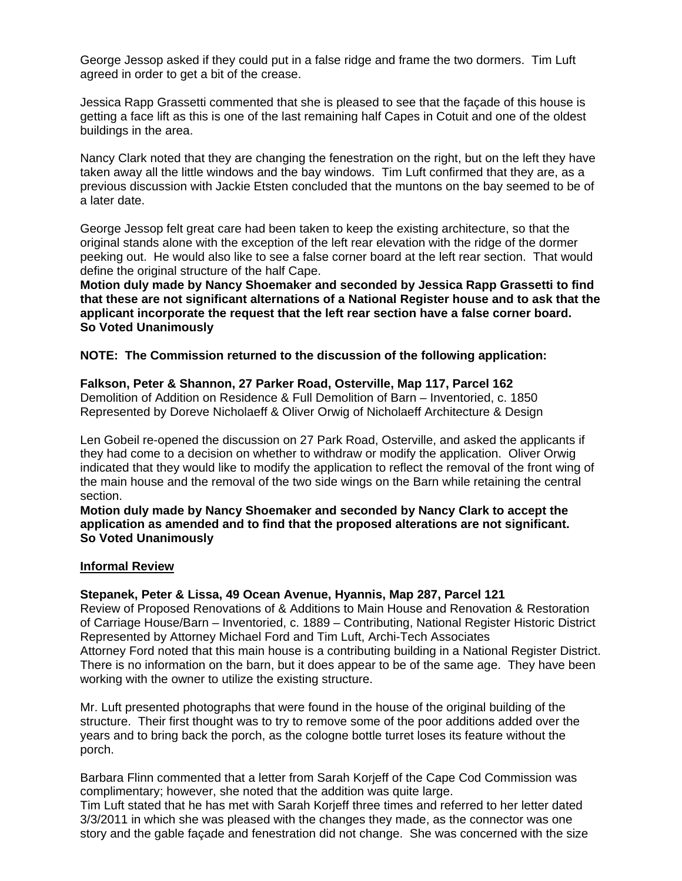George Jessop asked if they could put in a false ridge and frame the two dormers. Tim Luft agreed in order to get a bit of the crease.

Jessica Rapp Grassetti commented that she is pleased to see that the façade of this house is getting a face lift as this is one of the last remaining half Capes in Cotuit and one of the oldest buildings in the area.

Nancy Clark noted that they are changing the fenestration on the right, but on the left they have taken away all the little windows and the bay windows. Tim Luft confirmed that they are, as a previous discussion with Jackie Etsten concluded that the muntons on the bay seemed to be of a later date.

George Jessop felt great care had been taken to keep the existing architecture, so that the original stands alone with the exception of the left rear elevation with the ridge of the dormer peeking out. He would also like to see a false corner board at the left rear section. That would define the original structure of the half Cape.

**Motion duly made by Nancy Shoemaker and seconded by Jessica Rapp Grassetti to find that these are not significant alternations of a National Register house and to ask that the applicant incorporate the request that the left rear section have a false corner board. So Voted Unanimously** 

**NOTE: The Commission returned to the discussion of the following application:** 

### **Falkson, Peter & Shannon, 27 Parker Road, Osterville, Map 117, Parcel 162**

Demolition of Addition on Residence & Full Demolition of Barn – Inventoried, c. 1850 Represented by Doreve Nicholaeff & Oliver Orwig of Nicholaeff Architecture & Design

Len Gobeil re-opened the discussion on 27 Park Road, Osterville, and asked the applicants if they had come to a decision on whether to withdraw or modify the application. Oliver Orwig indicated that they would like to modify the application to reflect the removal of the front wing of the main house and the removal of the two side wings on the Barn while retaining the central section.

**Motion duly made by Nancy Shoemaker and seconded by Nancy Clark to accept the application as amended and to find that the proposed alterations are not significant. So Voted Unanimously** 

### **Informal Review**

### **Stepanek, Peter & Lissa, 49 Ocean Avenue, Hyannis, Map 287, Parcel 121**

Review of Proposed Renovations of & Additions to Main House and Renovation & Restoration of Carriage House/Barn – Inventoried, c. 1889 – Contributing, National Register Historic District Represented by Attorney Michael Ford and Tim Luft, Archi-Tech Associates Attorney Ford noted that this main house is a contributing building in a National Register District. There is no information on the barn, but it does appear to be of the same age. They have been working with the owner to utilize the existing structure.

Mr. Luft presented photographs that were found in the house of the original building of the structure. Their first thought was to try to remove some of the poor additions added over the years and to bring back the porch, as the cologne bottle turret loses its feature without the porch.

Barbara Flinn commented that a letter from Sarah Korjeff of the Cape Cod Commission was complimentary; however, she noted that the addition was quite large.

Tim Luft stated that he has met with Sarah Korjeff three times and referred to her letter dated 3/3/2011 in which she was pleased with the changes they made, as the connector was one story and the gable façade and fenestration did not change. She was concerned with the size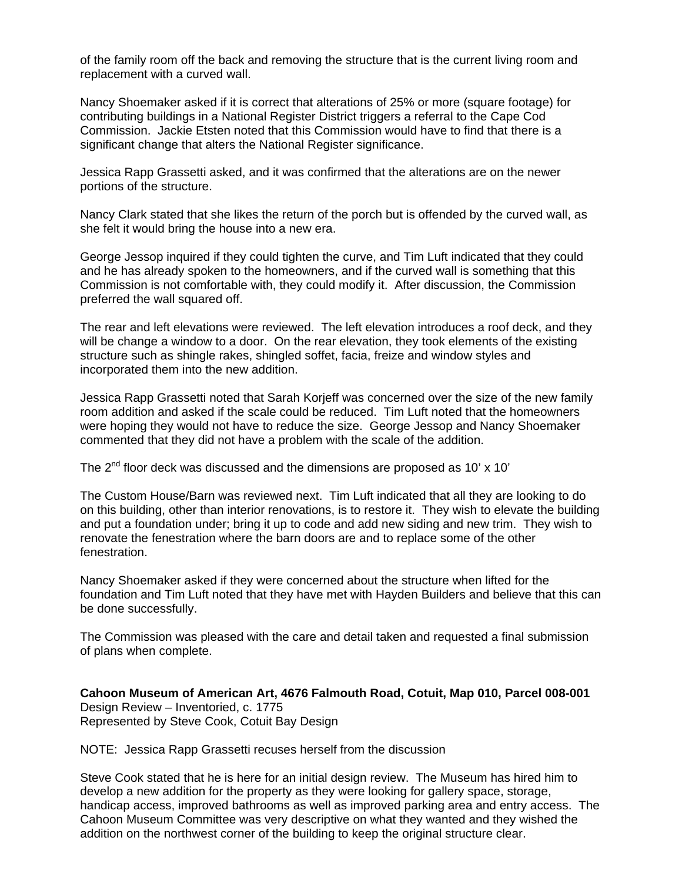of the family room off the back and removing the structure that is the current living room and replacement with a curved wall.

Nancy Shoemaker asked if it is correct that alterations of 25% or more (square footage) for contributing buildings in a National Register District triggers a referral to the Cape Cod Commission. Jackie Etsten noted that this Commission would have to find that there is a significant change that alters the National Register significance.

Jessica Rapp Grassetti asked, and it was confirmed that the alterations are on the newer portions of the structure.

Nancy Clark stated that she likes the return of the porch but is offended by the curved wall, as she felt it would bring the house into a new era.

George Jessop inquired if they could tighten the curve, and Tim Luft indicated that they could and he has already spoken to the homeowners, and if the curved wall is something that this Commission is not comfortable with, they could modify it. After discussion, the Commission preferred the wall squared off.

The rear and left elevations were reviewed. The left elevation introduces a roof deck, and they will be change a window to a door. On the rear elevation, they took elements of the existing structure such as shingle rakes, shingled soffet, facia, freize and window styles and incorporated them into the new addition.

Jessica Rapp Grassetti noted that Sarah Korjeff was concerned over the size of the new family room addition and asked if the scale could be reduced. Tim Luft noted that the homeowners were hoping they would not have to reduce the size. George Jessop and Nancy Shoemaker commented that they did not have a problem with the scale of the addition.

The  $2<sup>nd</sup>$  floor deck was discussed and the dimensions are proposed as 10' x 10'

The Custom House/Barn was reviewed next. Tim Luft indicated that all they are looking to do on this building, other than interior renovations, is to restore it. They wish to elevate the building and put a foundation under; bring it up to code and add new siding and new trim. They wish to renovate the fenestration where the barn doors are and to replace some of the other fenestration.

Nancy Shoemaker asked if they were concerned about the structure when lifted for the foundation and Tim Luft noted that they have met with Hayden Builders and believe that this can be done successfully.

The Commission was pleased with the care and detail taken and requested a final submission of plans when complete.

**Cahoon Museum of American Art, 4676 Falmouth Road, Cotuit, Map 010, Parcel 008-001**  Design Review – Inventoried, c. 1775 Represented by Steve Cook, Cotuit Bay Design

NOTE: Jessica Rapp Grassetti recuses herself from the discussion

Steve Cook stated that he is here for an initial design review. The Museum has hired him to develop a new addition for the property as they were looking for gallery space, storage, handicap access, improved bathrooms as well as improved parking area and entry access. The Cahoon Museum Committee was very descriptive on what they wanted and they wished the addition on the northwest corner of the building to keep the original structure clear.